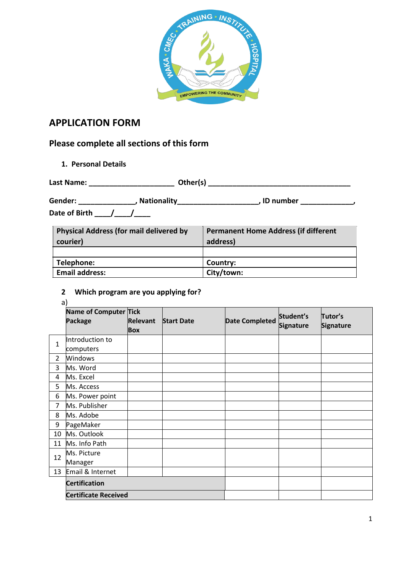

# **APPLICATION FORM**

# **Please complete all sections of this form**

**1. Personal Details**

| Last Name:     | Other(s)           |           |  |
|----------------|--------------------|-----------|--|
| <b>Gender:</b> | <b>Nationality</b> | ID number |  |
| Date of Birth  |                    |           |  |

| <b>Physical Address (for mail delivered by</b><br>courier) | <b>Permanent Home Address (if different</b><br>address) |
|------------------------------------------------------------|---------------------------------------------------------|
|                                                            |                                                         |
| Telephone:                                                 | Country:                                                |
| <b>Email address:</b>                                      | City/town:                                              |

# **2 Which program are you applying for?**

a)

| ⊶,             | <b>Name of Computer Tick</b> |                 |                   |                       | Student's | Tutor's   |
|----------------|------------------------------|-----------------|-------------------|-----------------------|-----------|-----------|
|                | <b>Package</b>               | <b>Relevant</b> | <b>Start Date</b> | <b>Date Completed</b> | Signature | Signature |
|                |                              | <b>Box</b>      |                   |                       |           |           |
| $\mathbf{1}$   | Introduction to              |                 |                   |                       |           |           |
|                | computers                    |                 |                   |                       |           |           |
| $\overline{2}$ | Windows                      |                 |                   |                       |           |           |
| 3              | Ms. Word                     |                 |                   |                       |           |           |
| 4              | Ms. Excel                    |                 |                   |                       |           |           |
| 5              | Ms. Access                   |                 |                   |                       |           |           |
| 6              | Ms. Power point              |                 |                   |                       |           |           |
| $\overline{7}$ | Ms. Publisher                |                 |                   |                       |           |           |
| 8              | Ms. Adobe                    |                 |                   |                       |           |           |
| 9              | PageMaker                    |                 |                   |                       |           |           |
| 10             | Ms. Outlook                  |                 |                   |                       |           |           |
| 11             | Ms. Info Path                |                 |                   |                       |           |           |
| 12             | Ms. Picture                  |                 |                   |                       |           |           |
|                | Manager                      |                 |                   |                       |           |           |
| 13             | Email & Internet             |                 |                   |                       |           |           |
|                | <b>Certification</b>         |                 |                   |                       |           |           |
|                | <b>Certificate Received</b>  |                 |                   |                       |           |           |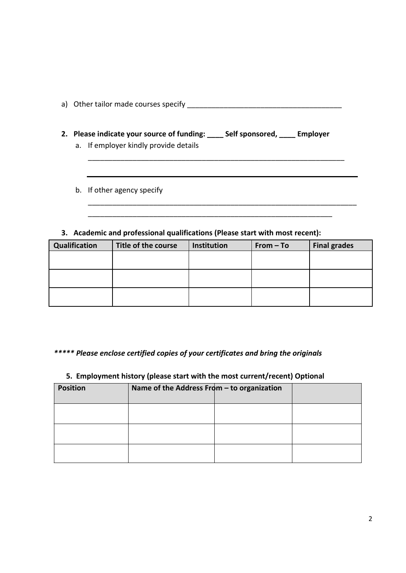|  | a) Other tailor made courses specify |
|--|--------------------------------------|
|--|--------------------------------------|

**2. Please indicate your source of funding: \_\_\_\_ Self sponsored, \_\_\_\_ Employer** 

\_\_\_\_\_\_\_\_\_\_\_\_\_\_\_\_\_\_\_\_\_\_\_\_\_\_\_\_\_\_\_\_\_\_\_\_\_\_\_\_\_\_\_\_\_\_\_\_\_\_\_\_\_\_\_\_\_\_\_\_\_\_\_

\_\_\_\_\_\_\_\_\_\_\_\_\_\_\_\_\_\_\_\_\_\_\_\_\_\_\_\_\_\_\_\_\_\_\_\_\_\_\_\_\_\_\_\_\_\_\_\_\_\_\_\_\_\_\_\_\_\_\_\_\_\_\_\_\_\_

- a. If employer kindly provide details
- b. If other agency specify

# **3. Academic and professional qualifications (Please start with most recent):**

| Qualification | Title of the course | Institution | $From - To$ | <b>Final grades</b> |
|---------------|---------------------|-------------|-------------|---------------------|
|               |                     |             |             |                     |
|               |                     |             |             |                     |
|               |                     |             |             |                     |
|               |                     |             |             |                     |
|               |                     |             |             |                     |
|               |                     |             |             |                     |

\_\_\_\_\_\_\_\_\_\_\_\_\_\_\_\_\_\_\_\_\_\_\_\_\_\_\_\_\_\_\_\_\_\_\_\_\_\_\_\_\_\_\_\_\_\_\_\_\_\_\_\_\_\_\_\_\_\_\_\_

# *\*\*\*\*\* Please enclose certified copies of your certificates and bring the originals*

## **5. Employment history (please start with the most current/recent) Optional**

| <b>Position</b> | Name of the Address From $-$ to organization |  |  |
|-----------------|----------------------------------------------|--|--|
|                 |                                              |  |  |
|                 |                                              |  |  |
|                 |                                              |  |  |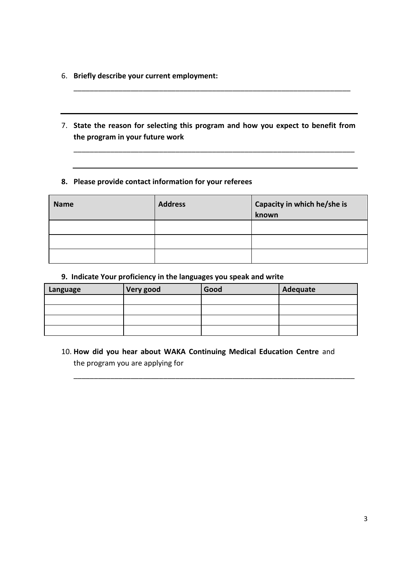- 6. **Briefly describe your current employment:**
- 7. **State the reason for selecting this program and how you expect to benefit from the program in your future work**

\_\_\_\_\_\_\_\_\_\_\_\_\_\_\_\_\_\_\_\_\_\_\_\_\_\_\_\_\_\_\_\_\_\_\_\_\_\_\_\_\_\_\_\_\_\_\_\_\_\_\_\_\_\_\_\_\_\_\_\_\_\_\_\_\_\_\_\_\_

\_\_\_\_\_\_\_\_\_\_\_\_\_\_\_\_\_\_\_\_\_\_\_\_\_\_\_\_\_\_\_\_\_\_\_\_\_\_\_\_\_\_\_\_\_\_\_\_\_\_\_\_\_\_\_\_\_\_\_\_\_\_\_\_\_\_\_\_

## **8. Please provide contact information for your referees**

| <b>Name</b> | <b>Address</b> | Capacity in which he/she is<br>known |
|-------------|----------------|--------------------------------------|
|             |                |                                      |
|             |                |                                      |
|             |                |                                      |

### **9. Indicate Your proficiency in the languages you speak and write**

| Language | Very good | Good | Adequate |
|----------|-----------|------|----------|
|          |           |      |          |
|          |           |      |          |
|          |           |      |          |
|          |           |      |          |

10. **How did you hear about WAKA Continuing Medical Education Centre** and the program you are applying for

\_\_\_\_\_\_\_\_\_\_\_\_\_\_\_\_\_\_\_\_\_\_\_\_\_\_\_\_\_\_\_\_\_\_\_\_\_\_\_\_\_\_\_\_\_\_\_\_\_\_\_\_\_\_\_\_\_\_\_\_\_\_\_\_\_\_\_\_\_